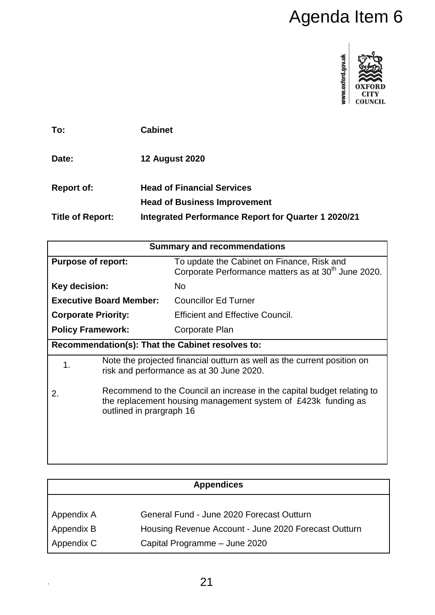

| To:                     | <b>Cabinet</b>                                                           |
|-------------------------|--------------------------------------------------------------------------|
| Date:                   | <b>12 August 2020</b>                                                    |
| <b>Report of:</b>       | <b>Head of Financial Services</b><br><b>Head of Business Improvement</b> |
| <b>Title of Report:</b> | Integrated Performance Report for Quarter 1 2020/21                      |

|                                                                                                                                                                           |                                                                                                                                    | Agenda Item 6                                                                                                 |  |  |  |  |
|---------------------------------------------------------------------------------------------------------------------------------------------------------------------------|------------------------------------------------------------------------------------------------------------------------------------|---------------------------------------------------------------------------------------------------------------|--|--|--|--|
|                                                                                                                                                                           |                                                                                                                                    | www.oxford.gov.uk                                                                                             |  |  |  |  |
| To:                                                                                                                                                                       | <b>Cabinet</b>                                                                                                                     |                                                                                                               |  |  |  |  |
| Date:                                                                                                                                                                     |                                                                                                                                    | <b>12 August 2020</b>                                                                                         |  |  |  |  |
| <b>Report of:</b>                                                                                                                                                         |                                                                                                                                    | <b>Head of Financial Services</b>                                                                             |  |  |  |  |
|                                                                                                                                                                           |                                                                                                                                    | <b>Head of Business Improvement</b>                                                                           |  |  |  |  |
| <b>Title of Report:</b>                                                                                                                                                   |                                                                                                                                    | Integrated Performance Report for Quarter 1 2020/21                                                           |  |  |  |  |
|                                                                                                                                                                           |                                                                                                                                    | <b>Summary and recommendations</b>                                                                            |  |  |  |  |
| <b>Purpose of report:</b>                                                                                                                                                 |                                                                                                                                    | To update the Cabinet on Finance, Risk and<br>Corporate Performance matters as at 30 <sup>th</sup> June 2020. |  |  |  |  |
| Key decision:                                                                                                                                                             |                                                                                                                                    | <b>No</b>                                                                                                     |  |  |  |  |
|                                                                                                                                                                           | <b>Executive Board Member:</b>                                                                                                     | <b>Councillor Ed Turner</b>                                                                                   |  |  |  |  |
| <b>Corporate Priority:</b>                                                                                                                                                |                                                                                                                                    | <b>Efficient and Effective Council.</b>                                                                       |  |  |  |  |
| <b>Policy Framework:</b><br>Corporate Plan                                                                                                                                |                                                                                                                                    |                                                                                                               |  |  |  |  |
|                                                                                                                                                                           |                                                                                                                                    | Recommendation(s): That the Cabinet resolves to:                                                              |  |  |  |  |
| 1.                                                                                                                                                                        | Note the projected financial outturn as well as the current position on<br>risk and performance as at 30 June 2020.                |                                                                                                               |  |  |  |  |
| Recommend to the Council an increase in the capital budget relating to<br>2.<br>the replacement housing management system of £423k funding as<br>outlined in prargraph 16 |                                                                                                                                    |                                                                                                               |  |  |  |  |
|                                                                                                                                                                           |                                                                                                                                    |                                                                                                               |  |  |  |  |
| <b>Appendices</b>                                                                                                                                                         |                                                                                                                                    |                                                                                                               |  |  |  |  |
| Appendix A<br>Appendix B<br>Appendix C                                                                                                                                    | General Fund - June 2020 Forecast Outturn<br>Housing Revenue Account - June 2020 Forecast Outturn<br>Capital Programme - June 2020 |                                                                                                               |  |  |  |  |
|                                                                                                                                                                           |                                                                                                                                    | 21                                                                                                            |  |  |  |  |

| <b>Appendices</b> |                                                      |  |  |
|-------------------|------------------------------------------------------|--|--|
|                   |                                                      |  |  |
| Appendix A        | General Fund - June 2020 Forecast Outturn            |  |  |
| Appendix B        | Housing Revenue Account - June 2020 Forecast Outturn |  |  |
| Appendix C        | Capital Programme - June 2020                        |  |  |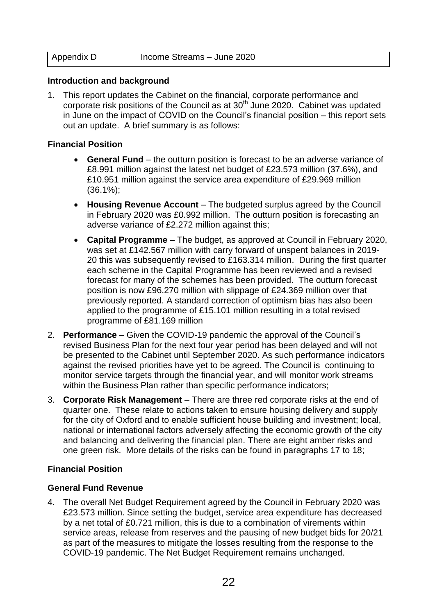#### **Introduction and background**

1. This report updates the Cabinet on the financial, corporate performance and corporate risk positions of the Council as at  $30<sup>th</sup>$  June 2020. Cabinet was updated in June on the impact of COVID on the Council's financial position – this report sets out an update. A brief summary is as follows:

#### **Financial Position**

- **General Fund** the outturn position is forecast to be an adverse variance of £8.991 million against the latest net budget of £23.573 million (37.6%), and £10.951 million against the service area expenditure of £29.969 million (36.1%);
- **Housing Revenue Account** The budgeted surplus agreed by the Council in February 2020 was £0.992 million. The outturn position is forecasting an adverse variance of £2.272 million against this;
- **Capital Programme** The budget, as approved at Council in February 2020, was set at £142.567 million with carry forward of unspent balances in 2019- 20 this was subsequently revised to £163.314 million. During the first quarter each scheme in the Capital Programme has been reviewed and a revised forecast for many of the schemes has been provided. The outturn forecast position is now £96.270 million with slippage of £24.369 million over that previously reported. A standard correction of optimism bias has also been applied to the programme of £15.101 million resulting in a total revised programme of £81.169 million
- 2. **Performance**  Given the COVID-19 pandemic the approval of the Council's revised Business Plan for the next four year period has been delayed and will not be presented to the Cabinet until September 2020. As such performance indicators against the revised priorities have yet to be agreed. The Council is continuing to monitor service targets through the financial year, and will monitor work streams within the Business Plan rather than specific performance indicators;
- 3. **Corporate Risk Management** There are three red corporate risks at the end of quarter one. These relate to actions taken to ensure housing delivery and supply for the city of Oxford and to enable sufficient house building and investment; local, national or international factors adversely affecting the economic growth of the city and balancing and delivering the financial plan. There are eight amber risks and one green risk. More details of the risks can be found in paragraphs 17 to 18;

## **Financial Position**

#### **General Fund Revenue**

4. The overall Net Budget Requirement agreed by the Council in February 2020 was £23.573 million. Since setting the budget, service area expenditure has decreased by a net total of £0.721 million, this is due to a combination of virements within service areas, release from reserves and the pausing of new budget bids for 20/21 as part of the measures to mitigate the losses resulting from the response to the COVID-19 pandemic. The Net Budget Requirement remains unchanged.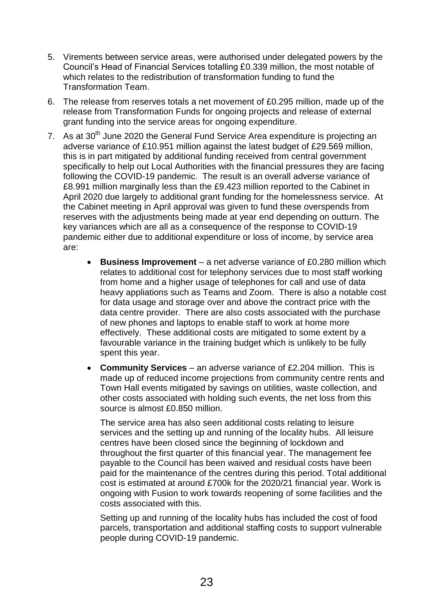- 5. Virements between service areas, were authorised under delegated powers by the Council's Head of Financial Services totalling £0.339 million, the most notable of which relates to the redistribution of transformation funding to fund the Transformation Team.
- 6. The release from reserves totals a net movement of £0.295 million, made up of the release from Transformation Funds for ongoing projects and release of external grant funding into the service areas for ongoing expenditure.
- 7. As at  $30<sup>th</sup>$  June 2020 the General Fund Service Area expenditure is projecting an adverse variance of £10.951 million against the latest budget of £29.569 million, this is in part mitigated by additional funding received from central government specifically to help out Local Authorities with the financial pressures they are facing following the COVID-19 pandemic. The result is an overall adverse variance of £8.991 million marginally less than the £9.423 million reported to the Cabinet in April 2020 due largely to additional grant funding for the homelessness service. At the Cabinet meeting in April approval was given to fund these overspends from reserves with the adjustments being made at year end depending on outturn. The key variances which are all as a consequence of the response to COVID-19 pandemic either due to additional expenditure or loss of income, by service area are:
	- **Business Improvement** a net adverse variance of £0.280 million which relates to additional cost for telephony services due to most staff working from home and a higher usage of telephones for call and use of data heavy appliations such as Teams and Zoom. There is also a notable cost for data usage and storage over and above the contract price with the data centre provider. There are also costs associated with the purchase of new phones and laptops to enable staff to work at home more effectively. These additional costs are mitigated to some extent by a favourable variance in the training budget which is unlikely to be fully spent this year.
	- **Community Services** an adverse variance of £2.204 million. This is made up of reduced income projections from community centre rents and Town Hall events mitigated by savings on utilities, waste collection, and other costs associated with holding such events, the net loss from this source is almost £0.850 million.

The service area has also seen additional costs relating to leisure services and the setting up and running of the locality hubs. All leisure centres have been closed since the beginning of lockdown and throughout the first quarter of this financial year. The management fee payable to the Council has been waived and residual costs have been paid for the maintenance of the centres during this period. Total additional cost is estimated at around £700k for the 2020/21 financial year. Work is ongoing with Fusion to work towards reopening of some facilities and the costs associated with this.

Setting up and running of the locality hubs has included the cost of food parcels, transportation and additional staffing costs to support vulnerable people during COVID-19 pandemic.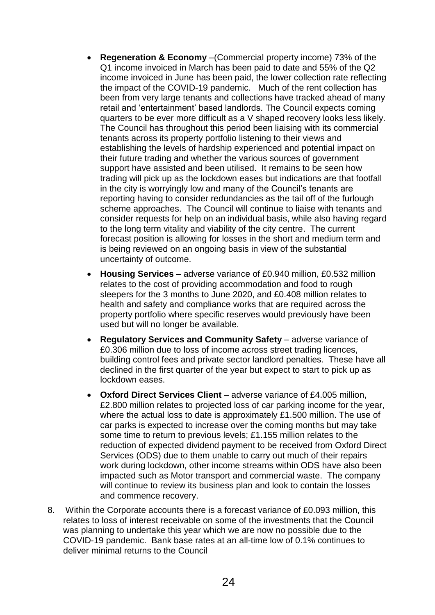- **Regeneration & Economy** –(Commercial property income) 73% of the Q1 income invoiced in March has been paid to date and 55% of the Q2 income invoiced in June has been paid, the lower collection rate reflecting the impact of the COVID-19 pandemic. Much of the rent collection has been from very large tenants and collections have tracked ahead of many retail and 'entertainment' based landlords. The Council expects coming quarters to be ever more difficult as a V shaped recovery looks less likely. The Council has throughout this period been liaising with its commercial tenants across its property portfolio listening to their views and establishing the levels of hardship experienced and potential impact on their future trading and whether the various sources of government support have assisted and been utilised. It remains to be seen how trading will pick up as the lockdown eases but indications are that footfall in the city is worryingly low and many of the Council's tenants are reporting having to consider redundancies as the tail off of the furlough scheme approaches. The Council will continue to liaise with tenants and consider requests for help on an individual basis, while also having regard to the long term vitality and viability of the city centre. The current forecast position is allowing for losses in the short and medium term and is being reviewed on an ongoing basis in view of the substantial uncertainty of outcome.
- **Housing Services** adverse variance of £0.940 million, £0.532 million relates to the cost of providing accommodation and food to rough sleepers for the 3 months to June 2020, and £0.408 million relates to health and safety and compliance works that are required across the property portfolio where specific reserves would previously have been used but will no longer be available.
- **Regulatory Services and Community Safety** adverse variance of £0.306 million due to loss of income across street trading licences, building control fees and private sector landlord penalties. These have all declined in the first quarter of the year but expect to start to pick up as lockdown eases.
- **Oxford Direct Services Client** adverse variance of £4.005 million, £2.800 million relates to projected loss of car parking income for the year, where the actual loss to date is approximately £1.500 million. The use of car parks is expected to increase over the coming months but may take some time to return to previous levels; £1.155 million relates to the reduction of expected dividend payment to be received from Oxford Direct Services (ODS) due to them unable to carry out much of their repairs work during lockdown, other income streams within ODS have also been impacted such as Motor transport and commercial waste. The company will continue to review its business plan and look to contain the losses and commence recovery.
- 8. Within the Corporate accounts there is a forecast variance of £0.093 million, this relates to loss of interest receivable on some of the investments that the Council was planning to undertake this year which we are now no possible due to the COVID-19 pandemic. Bank base rates at an all-time low of 0.1% continues to deliver minimal returns to the Council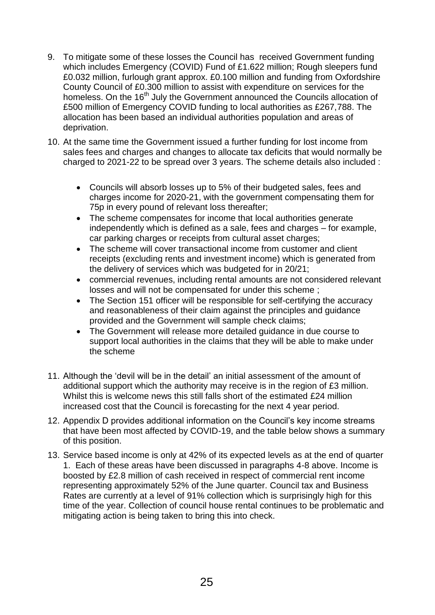- 9. To mitigate some of these losses the Council has received Government funding which includes Emergency (COVID) Fund of £1.622 million; Rough sleepers fund £0.032 million, furlough grant approx. £0.100 million and funding from Oxfordshire County Council of £0.300 million to assist with expenditure on services for the homeless. On the 16<sup>th</sup> July the Government announced the Councils allocation of £500 million of Emergency COVID funding to local authorities as £267,788. The allocation has been based an individual authorities population and areas of deprivation.
- 10. At the same time the Government issued a further funding for lost income from sales fees and charges and changes to allocate tax deficits that would normally be charged to 2021-22 to be spread over 3 years. The scheme details also included :
	- Councils will absorb losses up to 5% of their budgeted sales, fees and charges income for 2020-21, with the government compensating them for 75p in every pound of relevant loss thereafter;
	- The scheme compensates for income that local authorities generate independently which is defined as a sale, fees and charges – for example, car parking charges or receipts from cultural asset charges:
	- The scheme will cover transactional income from customer and client receipts (excluding rents and investment income) which is generated from the delivery of services which was budgeted for in 20/21;
	- commercial revenues, including rental amounts are not considered relevant losses and will not be compensated for under this scheme ;
	- The Section 151 officer will be responsible for self-certifying the accuracy and reasonableness of their claim against the principles and guidance provided and the Government will sample check claims;
	- The Government will release more detailed guidance in due course to support local authorities in the claims that they will be able to make under the scheme
- 11. Although the 'devil will be in the detail' an initial assessment of the amount of additional support which the authority may receive is in the region of £3 million. Whilst this is welcome news this still falls short of the estimated £24 million increased cost that the Council is forecasting for the next 4 year period.
- 12. Appendix D provides additional information on the Council's key income streams that have been most affected by COVID-19, and the table below shows a summary of this position.
- 13. Service based income is only at 42% of its expected levels as at the end of quarter 1. Each of these areas have been discussed in paragraphs 4-8 above. Income is boosted by £2.8 million of cash received in respect of commercial rent income representing approximately 52% of the June quarter. Council tax and Business Rates are currently at a level of 91% collection which is surprisingly high for this time of the year. Collection of council house rental continues to be problematic and mitigating action is being taken to bring this into check.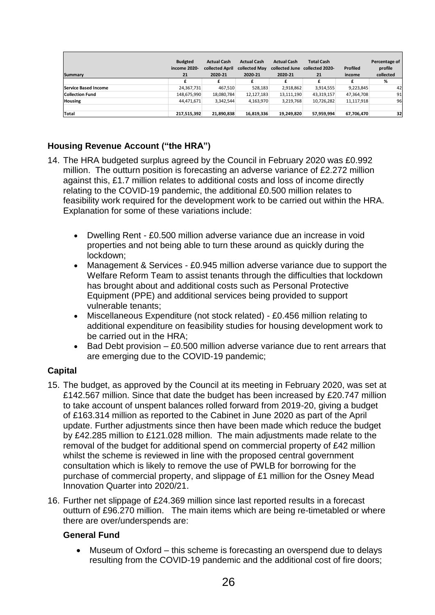| Summary                     | <b>Budgted</b><br>income 2020-<br>21 | <b>Actual Cash</b><br>collected April<br>2020-21 | <b>Actual Cash</b><br>collected May<br>2020-21 | <b>Actual Cash</b><br>collected June<br>2020-21 | <b>Total Cash</b><br>collected 2020-<br>21 | Profiled<br>income | Percentage of<br>profile<br>collected |
|-----------------------------|--------------------------------------|--------------------------------------------------|------------------------------------------------|-------------------------------------------------|--------------------------------------------|--------------------|---------------------------------------|
|                             |                                      | £                                                |                                                |                                                 | £                                          | £                  | %                                     |
| <b>Service Based Income</b> | 24,367,731                           | 467,510                                          | 528,183                                        | 2,918,862                                       | 3,914,555                                  | 9,223,845          | 42                                    |
| Collection Fund             | 148,675,990                          | 18,080,784                                       | 12,127,183                                     | 13,111,190                                      | 43,319,157                                 | 47,364,708         | 91                                    |
| <b>Housing</b>              | 44,471,671                           | 3,342,544                                        | 4,163,970                                      | 3,219,768                                       | 10,726,282                                 | 11,117,918         | 96                                    |
| Total                       | 217,515,392                          | 21,890,838                                       | 16,819,336                                     | 19,249,820                                      | 57,959,994                                 | 67,706,470         | 32                                    |

# **Housing Revenue Account ("the HRA")**

- 14. The HRA budgeted surplus agreed by the Council in February 2020 was £0.992 million. The outturn position is forecasting an adverse variance of £2.272 million against this, £1.7 million relates to additional costs and loss of income directly relating to the COVID-19 pandemic, the additional £0.500 million relates to feasibility work required for the development work to be carried out within the HRA. Explanation for some of these variations include:
	- Dwelling Rent £0.500 million adverse variance due an increase in void properties and not being able to turn these around as quickly during the lockdown;
	- Management & Services £0.945 million adverse variance due to support the Welfare Reform Team to assist tenants through the difficulties that lockdown has brought about and additional costs such as Personal Protective Equipment (PPE) and additional services being provided to support vulnerable tenants;
	- Miscellaneous Expenditure (not stock related) £0.456 million relating to additional expenditure on feasibility studies for housing development work to be carried out in the HRA;
	- $\bullet$  Bad Debt provision  $-$  £0.500 million adverse variance due to rent arrears that are emerging due to the COVID-19 pandemic;

## **Capital**

- 15. The budget, as approved by the Council at its meeting in February 2020, was set at £142.567 million. Since that date the budget has been increased by £20.747 million to take account of unspent balances rolled forward from 2019-20, giving a budget of £163.314 million as reported to the Cabinet in June 2020 as part of the April update. Further adjustments since then have been made which reduce the budget by £42.285 million to £121.028 million. The main adjustments made relate to the removal of the budget for additional spend on commercial property of £42 million whilst the scheme is reviewed in line with the proposed central government consultation which is likely to remove the use of PWLB for borrowing for the purchase of commercial property, and slippage of £1 million for the Osney Mead Innovation Quarter into 2020/21.
- 16. Further net slippage of £24.369 million since last reported results in a forecast outturn of £96.270 million. The main items which are being re-timetabled or where there are over/underspends are:

## **General Fund**

 Museum of Oxford – this scheme is forecasting an overspend due to delays resulting from the COVID-19 pandemic and the additional cost of fire doors;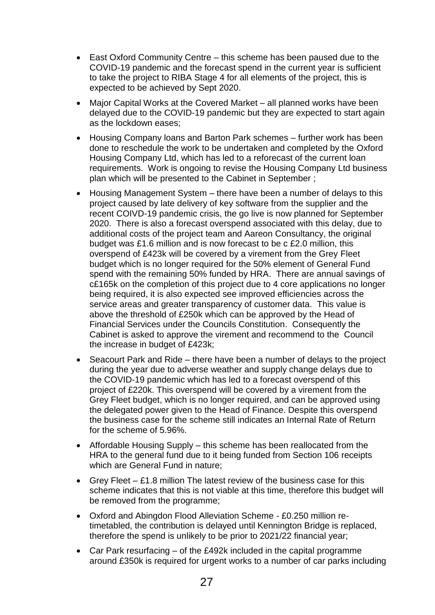- East Oxford Community Centre this scheme has been paused due to the COVID-19 pandemic and the forecast spend in the current year is sufficient to take the project to RIBA Stage 4 for all elements of the project, this is expected to be achieved by Sept 2020.
- Major Capital Works at the Covered Market all planned works have been delayed due to the COVID-19 pandemic but they are expected to start again as the lockdown eases;
- Housing Company loans and Barton Park schemes further work has been done to reschedule the work to be undertaken and completed by the Oxford Housing Company Ltd, which has led to a reforecast of the current loan requirements. Work is ongoing to revise the Housing Company Ltd business plan which will be presented to the Cabinet in September ;
- Housing Management System there have been a number of delays to this project caused by late delivery of key software from the supplier and the recent COIVD-19 pandemic crisis, the go live is now planned for September 2020. There is also a forecast overspend associated with this delay, due to additional costs of the project team and Aareon Consultancy, the original budget was £1.6 million and is now forecast to be c £2.0 million, this overspend of £423k will be covered by a virement from the Grey Fleet budget which is no longer required for the 50% element of General Fund spend with the remaining 50% funded by HRA. There are annual savings of c£165k on the completion of this project due to 4 core applications no longer being required, it is also expected see improved efficiencies across the service areas and greater transparency of customer data. This value is above the threshold of £250k which can be approved by the Head of Financial Services under the Councils Constitution. Consequently the Cabinet is asked to approve the virement and recommend to the Council the increase in budget of £423k;
- Seacourt Park and Ride there have been a number of delays to the project during the year due to adverse weather and supply change delays due to the COVID-19 pandemic which has led to a forecast overspend of this project of £220k. This overspend will be covered by a virement from the Grey Fleet budget, which is no longer required, and can be approved using the delegated power given to the Head of Finance. Despite this overspend the business case for the scheme still indicates an Internal Rate of Return for the scheme of 5.96%.
- Affordable Housing Supply this scheme has been reallocated from the HRA to the general fund due to it being funded from Section 106 receipts which are General Fund in nature;
- Grey Fleet  $-$  £1.8 million The latest review of the business case for this scheme indicates that this is not viable at this time, therefore this budget will be removed from the programme;
- Oxford and Abingdon Flood Alleviation Scheme £0.250 million retimetabled, the contribution is delayed until Kennington Bridge is replaced, therefore the spend is unlikely to be prior to 2021/22 financial year;
- Car Park resurfacing of the £492k included in the capital programme around £350k is required for urgent works to a number of car parks including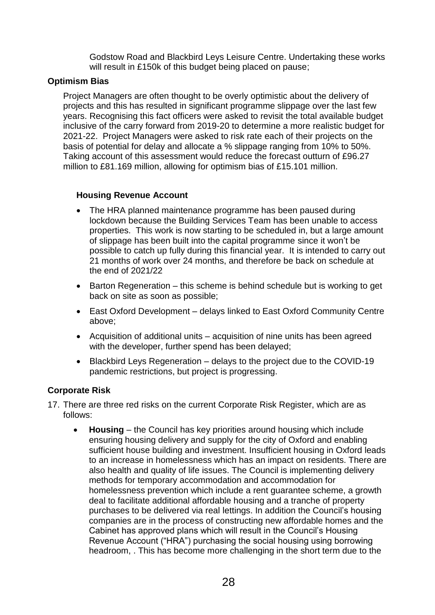Godstow Road and Blackbird Leys Leisure Centre. Undertaking these works will result in £150k of this budget being placed on pause;

#### **Optimism Bias**

Project Managers are often thought to be overly optimistic about the delivery of projects and this has resulted in significant programme slippage over the last few years. Recognising this fact officers were asked to revisit the total available budget inclusive of the carry forward from 2019-20 to determine a more realistic budget for 2021-22. Project Managers were asked to risk rate each of their projects on the basis of potential for delay and allocate a % slippage ranging from 10% to 50%. Taking account of this assessment would reduce the forecast outturn of £96.27 million to £81.169 million, allowing for optimism bias of £15.101 million.

#### **Housing Revenue Account**

- The HRA planned maintenance programme has been paused during lockdown because the Building Services Team has been unable to access properties. This work is now starting to be scheduled in, but a large amount of slippage has been built into the capital programme since it won't be possible to catch up fully during this financial year. It is intended to carry out 21 months of work over 24 months, and therefore be back on schedule at the end of 2021/22
- $\bullet$  Barton Regeneration this scheme is behind schedule but is working to get back on site as soon as possible;
- East Oxford Development delays linked to East Oxford Community Centre above;
- Acquisition of additional units acquisition of nine units has been agreed with the developer, further spend has been delayed;
- Blackbird Leys Regeneration delays to the project due to the COVID-19 pandemic restrictions, but project is progressing.

## **Corporate Risk**

- 17. There are three red risks on the current Corporate Risk Register, which are as follows:
	- **Housing** the Council has key priorities around housing which include ensuring housing delivery and supply for the city of Oxford and enabling sufficient house building and investment. Insufficient housing in Oxford leads to an increase in homelessness which has an impact on residents. There are also health and quality of life issues. The Council is implementing delivery methods for temporary accommodation and accommodation for homelessness prevention which include a rent guarantee scheme, a growth deal to facilitate additional affordable housing and a tranche of property purchases to be delivered via real lettings. In addition the Council's housing companies are in the process of constructing new affordable homes and the Cabinet has approved plans which will result in the Council's Housing Revenue Account ("HRA") purchasing the social housing using borrowing headroom, . This has become more challenging in the short term due to the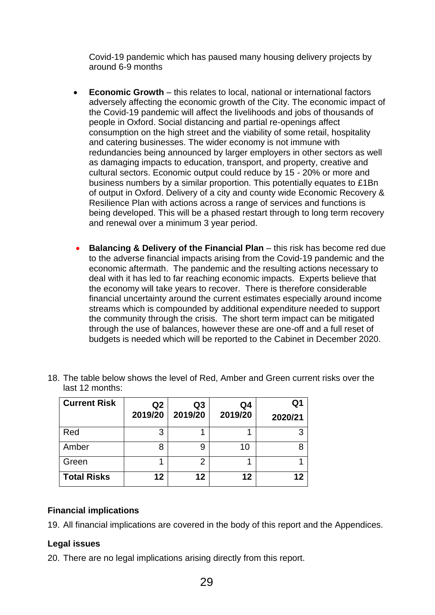Covid-19 pandemic which has paused many housing delivery projects by around 6-9 months

- **Economic Growth** this relates to local, national or international factors adversely affecting the economic growth of the City. The economic impact of the Covid-19 pandemic will affect the livelihoods and jobs of thousands of people in Oxford. Social distancing and partial re-openings affect consumption on the high street and the viability of some retail, hospitality and catering businesses. The wider economy is not immune with redundancies being announced by larger employers in other sectors as well as damaging impacts to education, transport, and property, creative and cultural sectors. Economic output could reduce by 15 - 20% or more and business numbers by a similar proportion. This potentially equates to £1Bn of output in Oxford. Delivery of a city and county wide Economic Recovery & Resilience Plan with actions across a range of services and functions is being developed. This will be a phased restart through to long term recovery and renewal over a minimum 3 year period.
- **Balancing & Delivery of the Financial Plan this risk has become red due** to the adverse financial impacts arising from the Covid-19 pandemic and the economic aftermath. The pandemic and the resulting actions necessary to deal with it has led to far reaching economic impacts. Experts believe that the economy will take years to recover. There is therefore considerable financial uncertainty around the current estimates especially around income streams which is compounded by additional expenditure needed to support the community through the crisis. The short term impact can be mitigated through the use of balances, however these are one-off and a full reset of budgets is needed which will be reported to the Cabinet in December 2020.

| <b>Current Risk</b> | Q <sub>2</sub><br>2019/20 | Q3<br>2019/20 | Q4<br>2019/20 | Q1<br>2020/21 |
|---------------------|---------------------------|---------------|---------------|---------------|
| Red                 | 3                         |               |               |               |
| Amber               | 8                         | 9             | 10            |               |
| Green               |                           | 2             |               |               |
| <b>Total Risks</b>  | 12                        | 12            | 12            | 12            |

18. The table below shows the level of Red, Amber and Green current risks over the last 12 months:

## **Financial implications**

19. All financial implications are covered in the body of this report and the Appendices.

## **Legal issues**

20. There are no legal implications arising directly from this report.